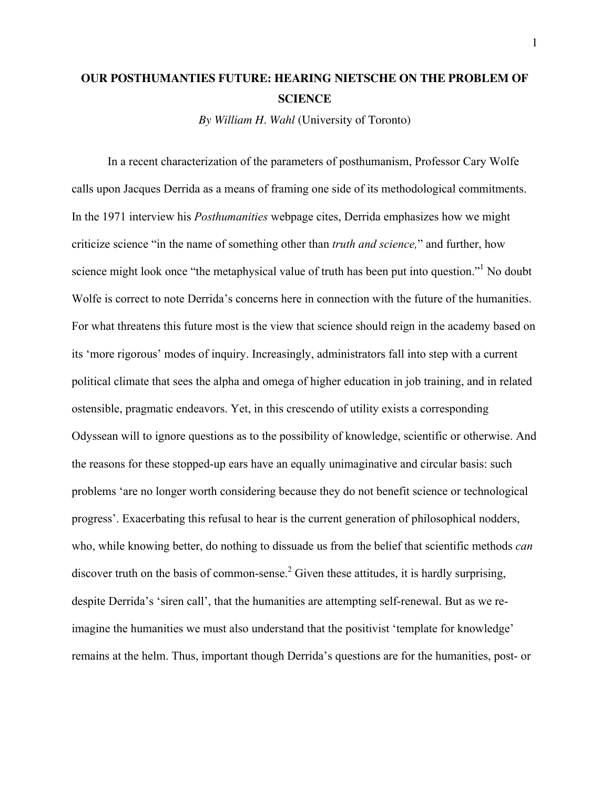## **OUR POSTHUMANTIES FUTURE: HEARING NIETSCHE ON THE PROBLEM OF SCIENCE**

*By William H. Wahl* (University of Toronto)

In a recent characterization of the parameters of posthumanism, Professor Cary Wolfe calls upon Jacques Derrida as a means of framing one side of its methodological commitments. In the 1971 interview his *Posthumanities* webpage cites, Derrida emphasizes how we might criticize science "in the name of something other than *truth and science,*" and further, how science might look once "the metaphysical value of truth has been put into question."<sup>1</sup> No doubt Wolfe is correct to note Derrida's concerns here in connection with the future of the humanities. For what threatens this future most is the view that science should reign in the academy based on its 'more rigorous' modes of inquiry. Increasingly, administrators fall into step with a current political climate that sees the alpha and omega of higher education in job training, and in related ostensible, pragmatic endeavors. Yet, in this crescendo of utility exists a corresponding Odyssean will to ignore questions as to the possibility of knowledge, scientific or otherwise. And the reasons for these stopped-up ears have an equally unimaginative and circular basis: such problems 'are no longer worth considering because they do not benefit science or technological progress'. Exacerbating this refusal to hear is the current generation of philosophical nodders, who, while knowing better, do nothing to dissuade us from the belief that scientific methods *can* discover truth on the basis of common-sense.<sup>2</sup> Given these attitudes, it is hardly surprising, despite Derrida's 'siren call', that the humanities are attempting self-renewal. But as we reimagine the humanities we must also understand that the positivist 'template for knowledge' remains at the helm. Thus, important though Derrida's questions are for the humanities, post- or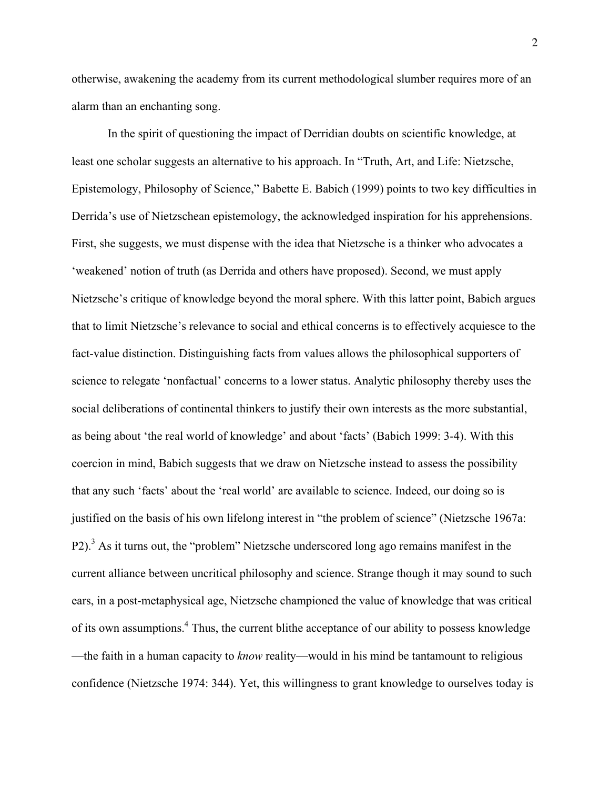otherwise, awakening the academy from its current methodological slumber requires more of an alarm than an enchanting song.

In the spirit of questioning the impact of Derridian doubts on scientific knowledge, at least one scholar suggests an alternative to his approach. In "Truth, Art, and Life: Nietzsche, Epistemology, Philosophy of Science," Babette E. Babich (1999) points to two key difficulties in Derrida's use of Nietzschean epistemology, the acknowledged inspiration for his apprehensions. First, she suggests, we must dispense with the idea that Nietzsche is a thinker who advocates a 'weakened' notion of truth (as Derrida and others have proposed). Second, we must apply Nietzsche's critique of knowledge beyond the moral sphere. With this latter point, Babich argues that to limit Nietzsche's relevance to social and ethical concerns is to effectively acquiesce to the fact-value distinction. Distinguishing facts from values allows the philosophical supporters of science to relegate 'nonfactual' concerns to a lower status. Analytic philosophy thereby uses the social deliberations of continental thinkers to justify their own interests as the more substantial, as being about 'the real world of knowledge' and about 'facts' (Babich 1999: 3-4). With this coercion in mind, Babich suggests that we draw on Nietzsche instead to assess the possibility that any such 'facts' about the 'real world' are available to science. Indeed, our doing so is justified on the basis of his own lifelong interest in "the problem of science" (Nietzsche 1967a: P2).<sup>3</sup> As it turns out, the "problem" Nietzsche underscored long ago remains manifest in the current alliance between uncritical philosophy and science. Strange though it may sound to such ears, in a post-metaphysical age, Nietzsche championed the value of knowledge that was critical of its own assumptions.<sup>4</sup> Thus, the current blithe acceptance of our ability to possess knowledge —the faith in a human capacity to *know* reality—would in his mind be tantamount to religious confidence (Nietzsche 1974: 344). Yet, this willingness to grant knowledge to ourselves today is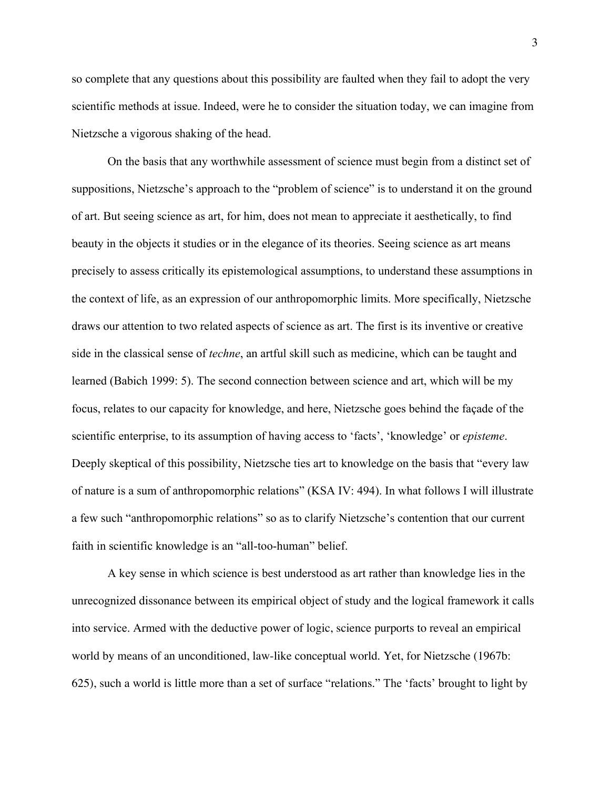so complete that any questions about this possibility are faulted when they fail to adopt the very scientific methods at issue. Indeed, were he to consider the situation today, we can imagine from Nietzsche a vigorous shaking of the head.

On the basis that any worthwhile assessment of science must begin from a distinct set of suppositions, Nietzsche's approach to the "problem of science" is to understand it on the ground of art. But seeing science as art, for him, does not mean to appreciate it aesthetically, to find beauty in the objects it studies or in the elegance of its theories. Seeing science as art means precisely to assess critically its epistemological assumptions, to understand these assumptions in the context of life, as an expression of our anthropomorphic limits. More specifically, Nietzsche draws our attention to two related aspects of science as art. The first is its inventive or creative side in the classical sense of *techne*, an artful skill such as medicine, which can be taught and learned (Babich 1999: 5). The second connection between science and art, which will be my focus, relates to our capacity for knowledge, and here, Nietzsche goes behind the façade of the scientific enterprise, to its assumption of having access to 'facts', 'knowledge' or *episteme*. Deeply skeptical of this possibility, Nietzsche ties art to knowledge on the basis that "every law of nature is a sum of anthropomorphic relations" (KSA IV: 494). In what follows I will illustrate a few such "anthropomorphic relations" so as to clarify Nietzsche's contention that our current faith in scientific knowledge is an "all-too-human" belief.

A key sense in which science is best understood as art rather than knowledge lies in the unrecognized dissonance between its empirical object of study and the logical framework it calls into service. Armed with the deductive power of logic, science purports to reveal an empirical world by means of an unconditioned, law-like conceptual world. Yet, for Nietzsche (1967b: 625), such a world is little more than a set of surface "relations." The 'facts' brought to light by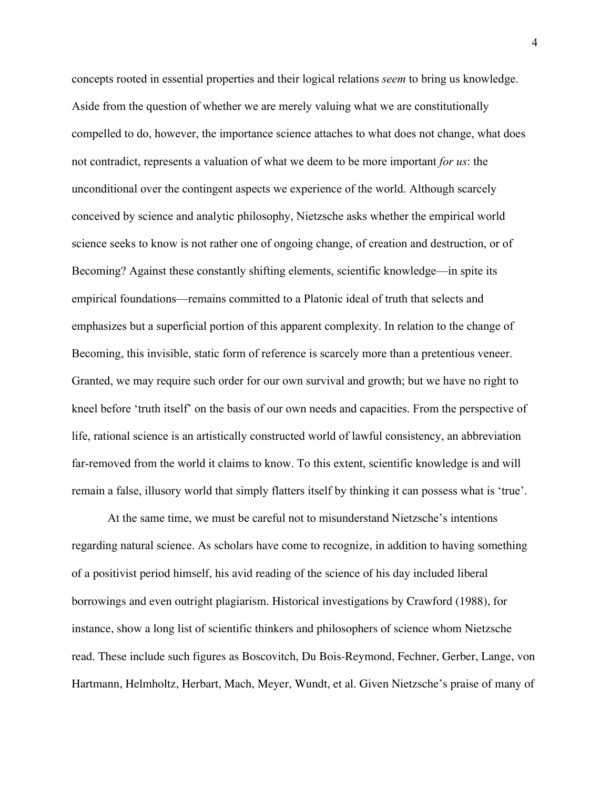concepts rooted in essential properties and their logical relations *seem* to bring us knowledge. Aside from the question of whether we are merely valuing what we are constitutionally compelled to do, however, the importance science attaches to what does not change, what does not contradict, represents a valuation of what we deem to be more important *for us*: the unconditional over the contingent aspects we experience of the world. Although scarcely conceived by science and analytic philosophy, Nietzsche asks whether the empirical world science seeks to know is not rather one of ongoing change, of creation and destruction, or of Becoming? Against these constantly shifting elements, scientific knowledge—in spite its empirical foundations—remains committed to a Platonic ideal of truth that selects and emphasizes but a superficial portion of this apparent complexity. In relation to the change of Becoming, this invisible, static form of reference is scarcely more than a pretentious veneer. Granted, we may require such order for our own survival and growth; but we have no right to kneel before 'truth itself' on the basis of our own needs and capacities. From the perspective of life, rational science is an artistically constructed world of lawful consistency, an abbreviation far-removed from the world it claims to know. To this extent, scientific knowledge is and will remain a false, illusory world that simply flatters itself by thinking it can possess what is 'true'.

At the same time, we must be careful not to misunderstand Nietzsche's intentions regarding natural science. As scholars have come to recognize, in addition to having something of a positivist period himself, his avid reading of the science of his day included liberal borrowings and even outright plagiarism. Historical investigations by Crawford (1988), for instance, show a long list of scientific thinkers and philosophers of science whom Nietzsche read. These include such figures as Boscovitch, Du Bois-Reymond, Fechner, Gerber, Lange, von Hartmann, Helmholtz, Herbart, Mach, Meyer, Wundt, et al. Given Nietzsche's praise of many of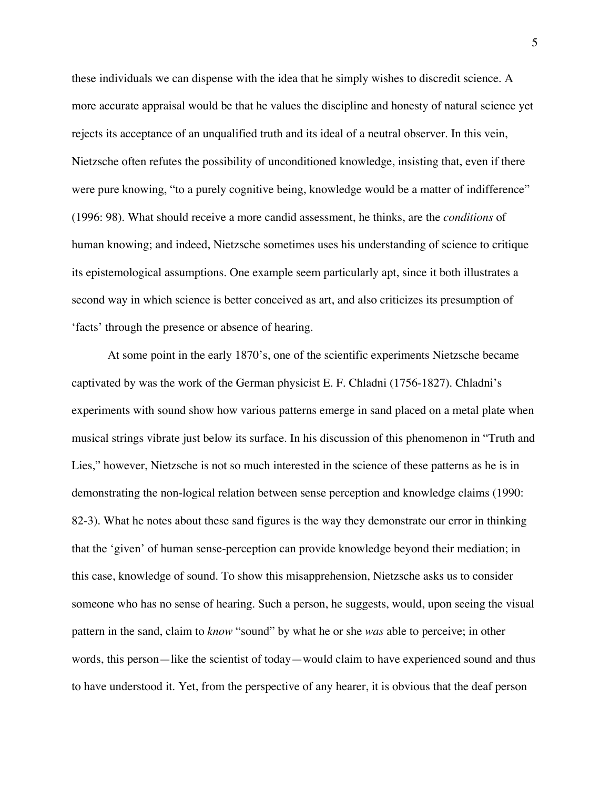these individuals we can dispense with the idea that he simply wishes to discredit science. A more accurate appraisal would be that he values the discipline and honesty of natural science yet rejects its acceptance of an unqualified truth and its ideal of a neutral observer. In this vein, Nietzsche often refutes the possibility of unconditioned knowledge, insisting that, even if there were pure knowing, "to a purely cognitive being, knowledge would be a matter of indifference" (1996: 98). What should receive a more candid assessment, he thinks, are the *conditions* of human knowing; and indeed, Nietzsche sometimes uses his understanding of science to critique its epistemological assumptions. One example seem particularly apt, since it both illustrates a second way in which science is better conceived as art, and also criticizes its presumption of 'facts' through the presence or absence of hearing.

At some point in the early 1870's, one of the scientific experiments Nietzsche became captivated by was the work of the German physicist E. F. Chladni (1756-1827). Chladni's experiments with sound show how various patterns emerge in sand placed on a metal plate when musical strings vibrate just below its surface. In his discussion of this phenomenon in "Truth and Lies," however, Nietzsche is not so much interested in the science of these patterns as he is in demonstrating the non-logical relation between sense perception and knowledge claims (1990: 82-3). What he notes about these sand figures is the way they demonstrate our error in thinking that the 'given' of human sense-perception can provide knowledge beyond their mediation; in this case, knowledge of sound. To show this misapprehension, Nietzsche asks us to consider someone who has no sense of hearing. Such a person, he suggests, would, upon seeing the visual pattern in the sand, claim to *know* "sound" by what he or she *was* able to perceive; in other words, this person—like the scientist of today—would claim to have experienced sound and thus to have understood it. Yet, from the perspective of any hearer, it is obvious that the deaf person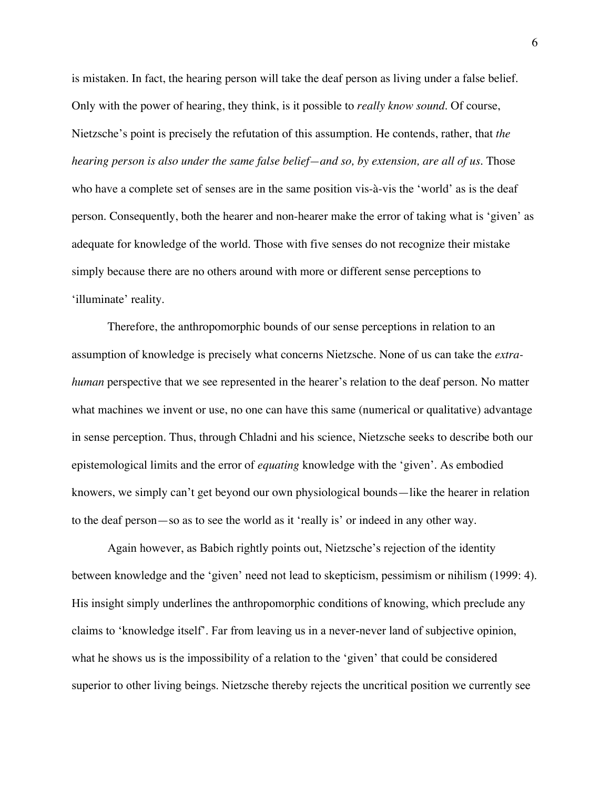is mistaken. In fact, the hearing person will take the deaf person as living under a false belief. Only with the power of hearing, they think, is it possible to *really know sound*. Of course, Nietzsche's point is precisely the refutation of this assumption. He contends, rather, that *the hearing person is also under the same false belief—and so, by extension, are all of us*. Those who have a complete set of senses are in the same position vis-à-vis the 'world' as is the deaf person. Consequently, both the hearer and non-hearer make the error of taking what is 'given' as adequate for knowledge of the world. Those with five senses do not recognize their mistake simply because there are no others around with more or different sense perceptions to 'illuminate' reality.

Therefore, the anthropomorphic bounds of our sense perceptions in relation to an assumption of knowledge is precisely what concerns Nietzsche. None of us can take the *extrahuman* perspective that we see represented in the hearer's relation to the deaf person. No matter what machines we invent or use, no one can have this same (numerical or qualitative) advantage in sense perception. Thus, through Chladni and his science, Nietzsche seeks to describe both our epistemological limits and the error of *equating* knowledge with the 'given'. As embodied knowers, we simply can't get beyond our own physiological bounds—like the hearer in relation to the deaf person—so as to see the world as it 'really is' or indeed in any other way.

Again however, as Babich rightly points out, Nietzsche's rejection of the identity between knowledge and the 'given' need not lead to skepticism, pessimism or nihilism (1999: 4). His insight simply underlines the anthropomorphic conditions of knowing, which preclude any claims to 'knowledge itself'. Far from leaving us in a never-never land of subjective opinion, what he shows us is the impossibility of a relation to the 'given' that could be considered superior to other living beings. Nietzsche thereby rejects the uncritical position we currently see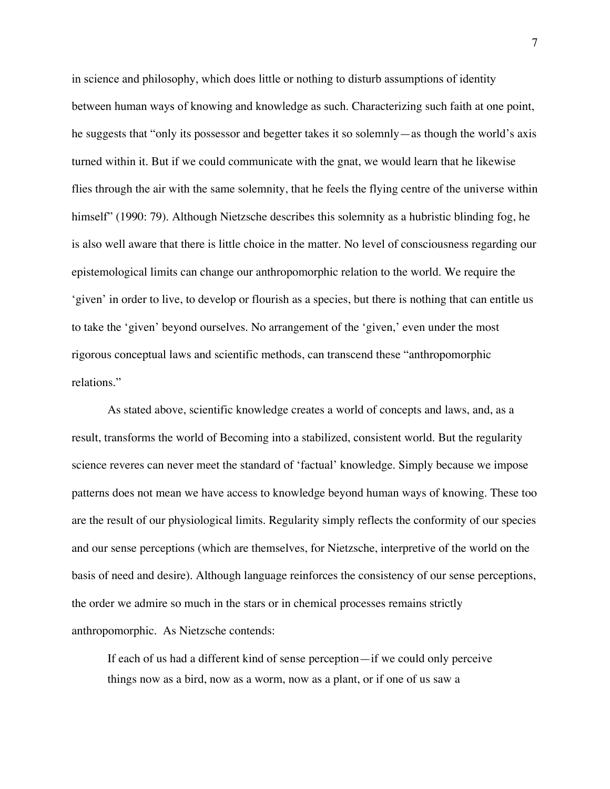in science and philosophy, which does little or nothing to disturb assumptions of identity between human ways of knowing and knowledge as such. Characterizing such faith at one point, he suggests that "only its possessor and begetter takes it so solemnly—as though the world's axis turned within it. But if we could communicate with the gnat, we would learn that he likewise flies through the air with the same solemnity, that he feels the flying centre of the universe within himself" (1990: 79). Although Nietzsche describes this solemnity as a hubristic blinding fog, he is also well aware that there is little choice in the matter. No level of consciousness regarding our epistemological limits can change our anthropomorphic relation to the world. We require the 'given' in order to live, to develop or flourish as a species, but there is nothing that can entitle us to take the 'given' beyond ourselves. No arrangement of the 'given,' even under the most rigorous conceptual laws and scientific methods, can transcend these "anthropomorphic relations."

As stated above, scientific knowledge creates a world of concepts and laws, and, as a result, transforms the world of Becoming into a stabilized, consistent world. But the regularity science reveres can never meet the standard of 'factual' knowledge. Simply because we impose patterns does not mean we have access to knowledge beyond human ways of knowing. These too are the result of our physiological limits. Regularity simply reflects the conformity of our species and our sense perceptions (which are themselves, for Nietzsche, interpretive of the world on the basis of need and desire). Although language reinforces the consistency of our sense perceptions, the order we admire so much in the stars or in chemical processes remains strictly anthropomorphic. As Nietzsche contends:

If each of us had a different kind of sense perception—if we could only perceive things now as a bird, now as a worm, now as a plant, or if one of us saw a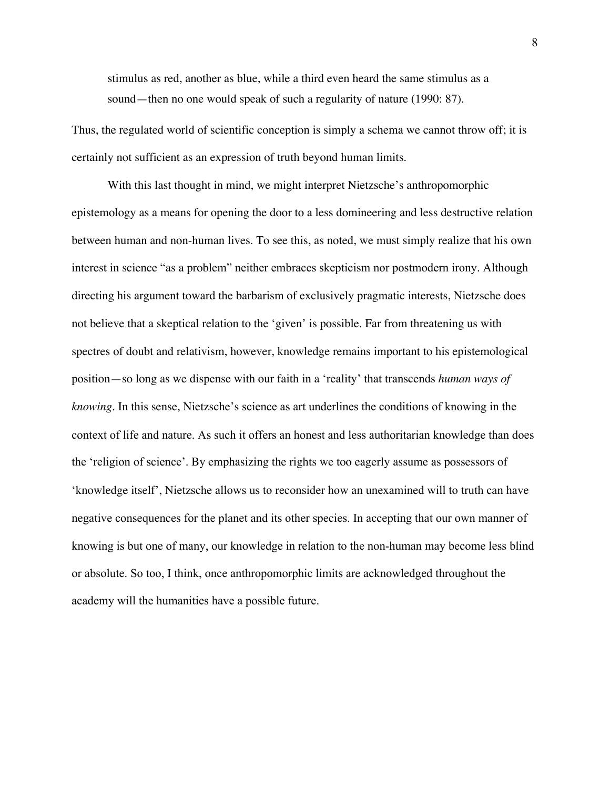stimulus as red, another as blue, while a third even heard the same stimulus as a sound—then no one would speak of such a regularity of nature (1990: 87).

Thus, the regulated world of scientific conception is simply a schema we cannot throw off; it is certainly not sufficient as an expression of truth beyond human limits.

With this last thought in mind, we might interpret Nietzsche's anthropomorphic epistemology as a means for opening the door to a less domineering and less destructive relation between human and non-human lives. To see this, as noted, we must simply realize that his own interest in science "as a problem" neither embraces skepticism nor postmodern irony. Although directing his argument toward the barbarism of exclusively pragmatic interests, Nietzsche does not believe that a skeptical relation to the 'given' is possible. Far from threatening us with spectres of doubt and relativism, however, knowledge remains important to his epistemological position—so long as we dispense with our faith in a 'reality' that transcends *human ways of knowing*. In this sense, Nietzsche's science as art underlines the conditions of knowing in the context of life and nature. As such it offers an honest and less authoritarian knowledge than does the 'religion of science'. By emphasizing the rights we too eagerly assume as possessors of 'knowledge itself', Nietzsche allows us to reconsider how an unexamined will to truth can have negative consequences for the planet and its other species. In accepting that our own manner of knowing is but one of many, our knowledge in relation to the non-human may become less blind or absolute. So too, I think, once anthropomorphic limits are acknowledged throughout the academy will the humanities have a possible future.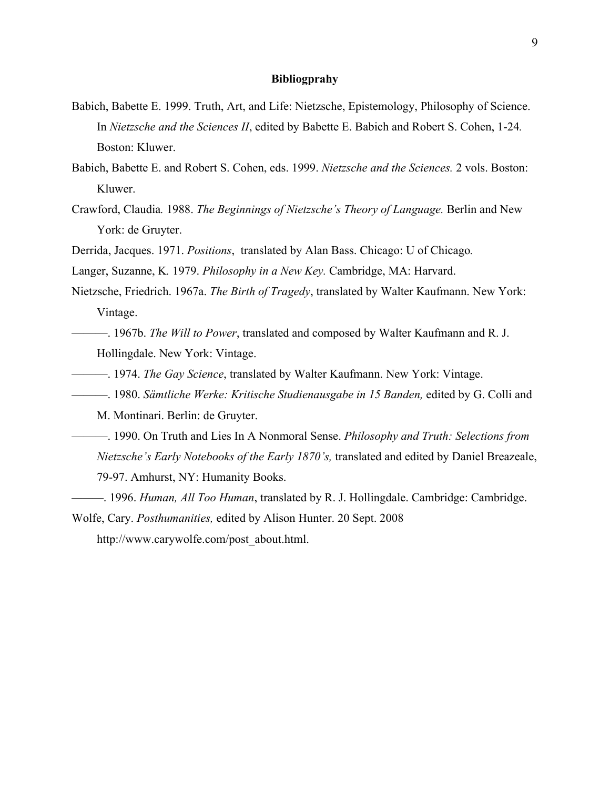## **Bibliogprahy**

- Babich, Babette E. 1999. Truth, Art, and Life: Nietzsche, Epistemology, Philosophy of Science. In *Nietzsche and the Sciences II*, edited by Babette E. Babich and Robert S. Cohen, 1-24*.*  Boston: Kluwer.
- Babich, Babette E. and Robert S. Cohen, eds. 1999. *Nietzsche and the Sciences.* 2 vols. Boston: Kluwer.
- Crawford, Claudia*.* 1988. *The Beginnings of Nietzsche's Theory of Language.* Berlin and New York: de Gruyter.
- Derrida, Jacques. 1971. *Positions*, translated by Alan Bass. Chicago: U of Chicago*.*

Langer, Suzanne, K*.* 1979. *Philosophy in a New Key.* Cambridge, MA: Harvard.

- Nietzsche, Friedrich. 1967a. *The Birth of Tragedy*, translated by Walter Kaufmann. New York: Vintage.
- ———. 1967b. *The Will to Power*, translated and composed by Walter Kaufmann and R. J. Hollingdale. New York: Vintage.
- ———. 1974. *The Gay Science*, translated by Walter Kaufmann. New York: Vintage.
- ———. 1980. *Sämtliche Werke: Kritische Studienausgabe in 15 Banden,* edited by G. Colli and

M. Montinari. Berlin: de Gruyter.

- ———. 1990. On Truth and Lies In A Nonmoral Sense. *Philosophy and Truth: Selections from Nietzsche's Early Notebooks of the Early 1870's,* translated and edited by Daniel Breazeale, 79-97. Amhurst, NY: Humanity Books.
- *———*. 1996. *Human, All Too Human*, translated by R. J. Hollingdale. Cambridge: Cambridge.

Wolfe, Cary. *Posthumanities,* edited by Alison Hunter. 20 Sept. 2008 http://www.carywolfe.com/post\_about.html.